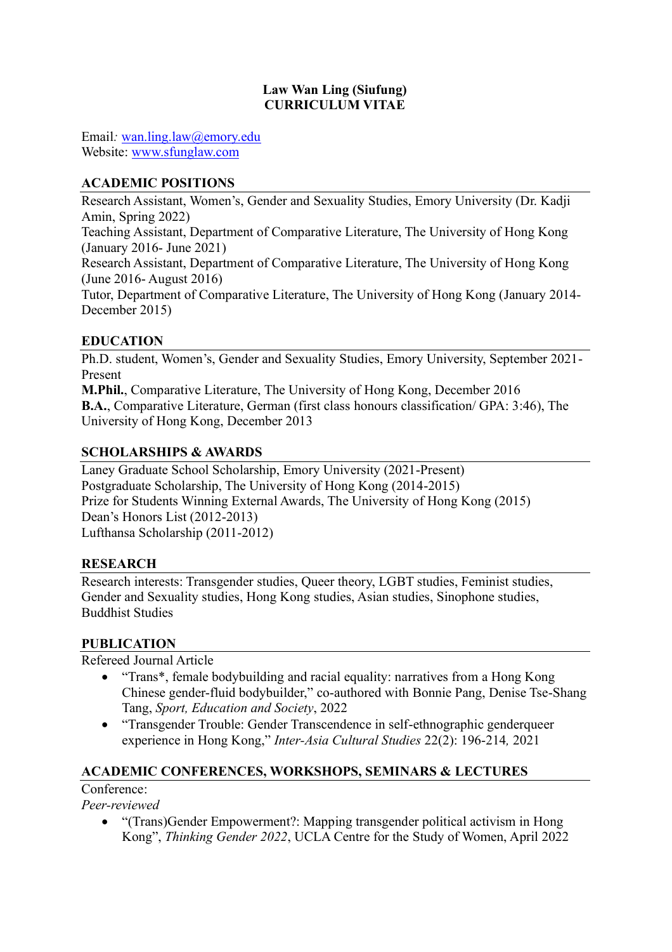#### **Law Wan Ling (Siufung) CURRICULUM VITAE**

Email*:* [wan.ling.law@emory.edu](mailto:wan.ling.law@emory.edu) Website: [www.sfunglaw.com](http://www.sfunglaw.com/)

### **ACADEMIC POSITIONS**

Research Assistant, Women's, Gender and Sexuality Studies, Emory University (Dr. Kadji Amin, Spring 2022) Teaching Assistant, Department of Comparative Literature, The University of Hong Kong (January 2016- June 2021)

Research Assistant, Department of Comparative Literature, The University of Hong Kong (June 2016- August 2016)

Tutor, Department of Comparative Literature, The University of Hong Kong (January 2014- December 2015)

#### **EDUCATION**

Ph.D. student, Women's, Gender and Sexuality Studies, Emory University, September 2021- Present

**M.Phil.**, Comparative Literature, The University of Hong Kong, December 2016 **B.A.**, Comparative Literature, German (first class honours classification/ GPA: 3:46), The University of Hong Kong, December 2013

#### **SCHOLARSHIPS & AWARDS**

Laney Graduate School Scholarship, Emory University (2021-Present) Postgraduate Scholarship, The University of Hong Kong (2014-2015) Prize for Students Winning External Awards, The University of Hong Kong (2015) Dean's Honors List (2012-2013) Lufthansa Scholarship (2011-2012)

#### **RESEARCH**

Research interests: Transgender studies, Queer theory, LGBT studies, Feminist studies, Gender and Sexuality studies, Hong Kong studies, Asian studies, Sinophone studies, Buddhist Studies

#### **PUBLICATION**

Refereed Journal Article

- "Trans\*, female bodybuilding and racial equality: narratives from a Hong Kong Chinese gender-fluid bodybuilder," co-authored with Bonnie Pang, Denise Tse-Shang Tang, *Sport, Education and Society*, 2022
- "Transgender Trouble: Gender Transcendence in self-ethnographic genderqueer experience in Hong Kong," *Inter-Asia Cultural Studies* 22(2): 196-214*,* 2021

#### **ACADEMIC CONFERENCES, WORKSHOPS, SEMINARS & LECTURES**

Conference<sup>.</sup>

*Peer-reviewed* 

• "(Trans)Gender Empowerment?: Mapping transgender political activism in Hong Kong", *Thinking Gender 2022*, UCLA Centre for the Study of Women, April 2022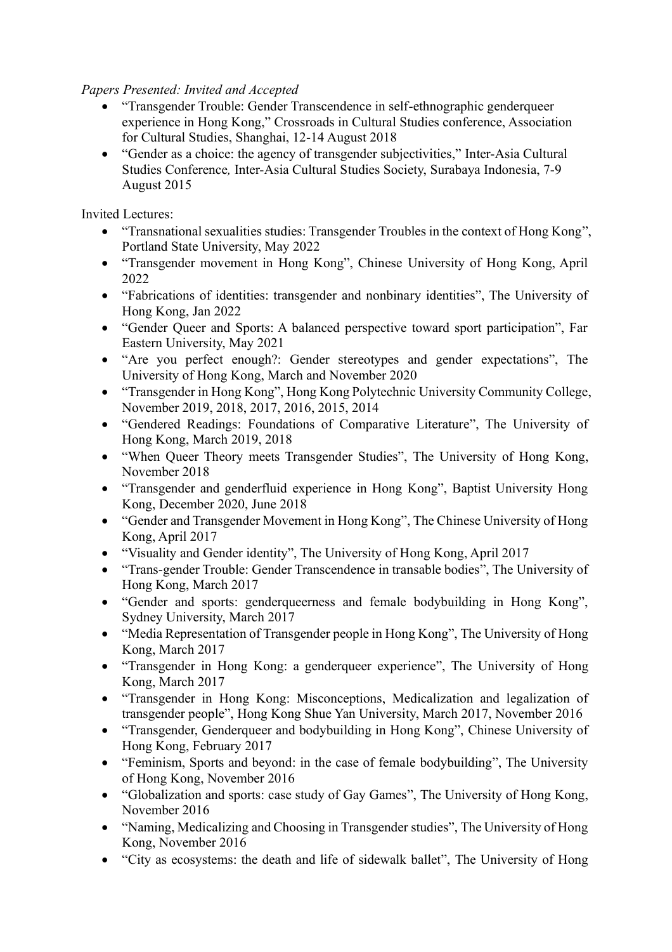*Papers Presented: Invited and Accepted*

- "Transgender Trouble: Gender Transcendence in self-ethnographic genderqueer experience in Hong Kong," Crossroads in Cultural Studies conference, Association for Cultural Studies, Shanghai, 12-14 August 2018
- "Gender as a choice: the agency of transgender subjectivities," Inter-Asia Cultural Studies Conference*,* Inter-Asia Cultural Studies Society, Surabaya Indonesia, 7-9 August 2015

Invited Lectures:

- "Transnational sexualities studies: Transgender Troubles in the context of Hong Kong", Portland State University, May 2022
- "Transgender movement in Hong Kong", Chinese University of Hong Kong, April 2022
- "Fabrications of identities: transgender and nonbinary identities", The University of Hong Kong, Jan 2022
- "Gender Queer and Sports: A balanced perspective toward sport participation", Far Eastern University, May 2021
- "Are you perfect enough?: Gender stereotypes and gender expectations", The University of Hong Kong, March and November 2020
- "Transgender in Hong Kong", Hong Kong Polytechnic University Community College, November 2019, 2018, 2017, 2016, 2015, 2014
- "Gendered Readings: Foundations of Comparative Literature", The University of Hong Kong, March 2019, 2018
- "When Queer Theory meets Transgender Studies", The University of Hong Kong, November 2018
- "Transgender and genderfluid experience in Hong Kong", Baptist University Hong Kong, December 2020, June 2018
- "Gender and Transgender Movement in Hong Kong", The Chinese University of Hong Kong, April 2017
- "Visuality and Gender identity", The University of Hong Kong, April 2017
- "Trans-gender Trouble: Gender Transcendence in transable bodies", The University of Hong Kong, March 2017
- "Gender and sports: genderqueerness and female bodybuilding in Hong Kong", Sydney University, March 2017
- "Media Representation of Transgender people in Hong Kong", The University of Hong Kong, March 2017
- "Transgender in Hong Kong: a genderqueer experience", The University of Hong Kong, March 2017
- "Transgender in Hong Kong: Misconceptions, Medicalization and legalization of transgender people", Hong Kong Shue Yan University, March 2017, November 2016
- "Transgender, Genderqueer and bodybuilding in Hong Kong", Chinese University of Hong Kong, February 2017
- "Feminism, Sports and beyond: in the case of female bodybuilding", The University of Hong Kong, November 2016
- "Globalization and sports: case study of Gay Games", The University of Hong Kong, November 2016
- "Naming, Medicalizing and Choosing in Transgender studies", The University of Hong Kong, November 2016
- "City as ecosystems: the death and life of sidewalk ballet", The University of Hong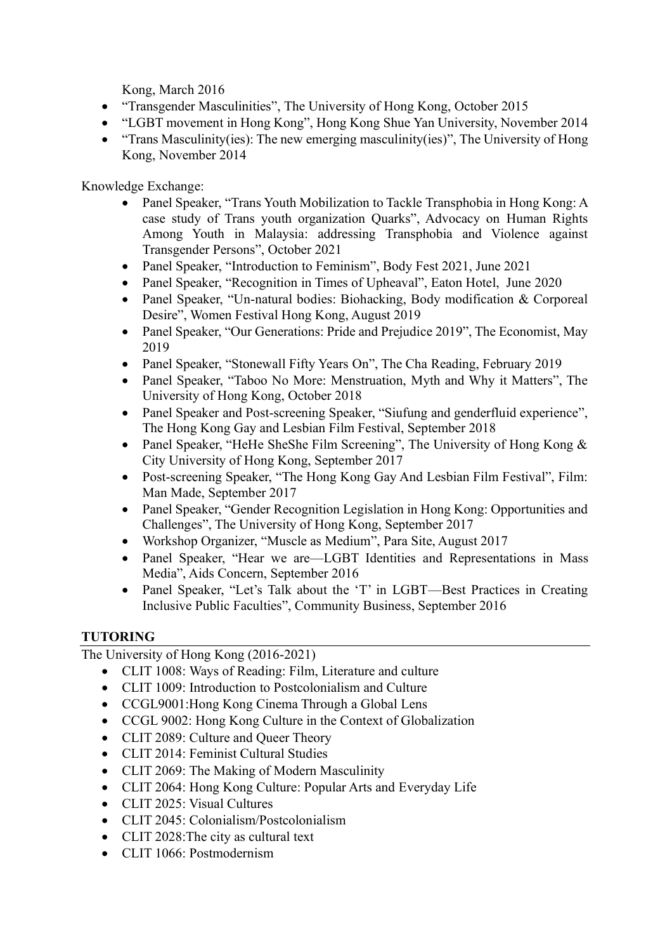Kong, March 2016

- "Transgender Masculinities", The University of Hong Kong, October 2015
- "LGBT movement in Hong Kong", Hong Kong Shue Yan University, November 2014
- "Trans Masculinity(ies): The new emerging masculinity(ies)", The University of Hong Kong, November 2014

Knowledge Exchange:

- Panel Speaker, "Trans Youth Mobilization to Tackle Transphobia in Hong Kong: A case study of Trans youth organization Quarks", Advocacy on Human Rights Among Youth in Malaysia: addressing Transphobia and Violence against Transgender Persons", October 2021
- Panel Speaker, "Introduction to Feminism", Body Fest 2021, June 2021
- Panel Speaker, "Recognition in Times of Upheaval", Eaton Hotel, June 2020
- Panel Speaker, "Un-natural bodies: Biohacking, Body modification & Corporeal Desire", Women Festival Hong Kong, August 2019
- Panel Speaker, "Our Generations: Pride and Prejudice 2019", The Economist, May 2019
- Panel Speaker, "Stonewall Fifty Years On", The Cha Reading, February 2019
- Panel Speaker, "Taboo No More: Menstruation, Myth and Why it Matters", The University of Hong Kong, October 2018
- Panel Speaker and Post-screening Speaker, "Siufung and genderfluid experience", The Hong Kong Gay and Lesbian Film Festival, September 2018
- Panel Speaker, "HeHe SheShe Film Screening", The University of Hong Kong & City University of Hong Kong, September 2017
- Post-screening Speaker, "The Hong Kong Gay And Lesbian Film Festival", Film: Man Made, September 2017
- Panel Speaker, "Gender Recognition Legislation in Hong Kong: Opportunities and Challenges", The University of Hong Kong, September 2017
- Workshop Organizer, "Muscle as Medium", Para Site, August 2017
- Panel Speaker, "Hear we are—LGBT Identities and Representations in Mass Media", Aids Concern, September 2016
- Panel Speaker, "Let's Talk about the 'T' in LGBT—Best Practices in Creating Inclusive Public Faculties", Community Business, September 2016

## **TUTORING**

The University of Hong Kong (2016-2021)

- CLIT 1008: Ways of Reading: Film, Literature and culture
- CLIT 1009: Introduction to Postcolonialism and Culture
- CCGL9001:Hong Kong Cinema Through a Global Lens
- CCGL 9002: Hong Kong Culture in the Context of Globalization
- CLIT 2089: Culture and Queer Theory
- CLIT 2014: Feminist Cultural Studies
- CLIT 2069: The Making of Modern Masculinity
- CLIT 2064: Hong Kong Culture: Popular Arts and Everyday Life
- CLIT 2025: Visual Cultures
- CLIT 2045: Colonialism/Postcolonialism
- CLIT 2028: The city as cultural text
- CLIT 1066: Postmodernism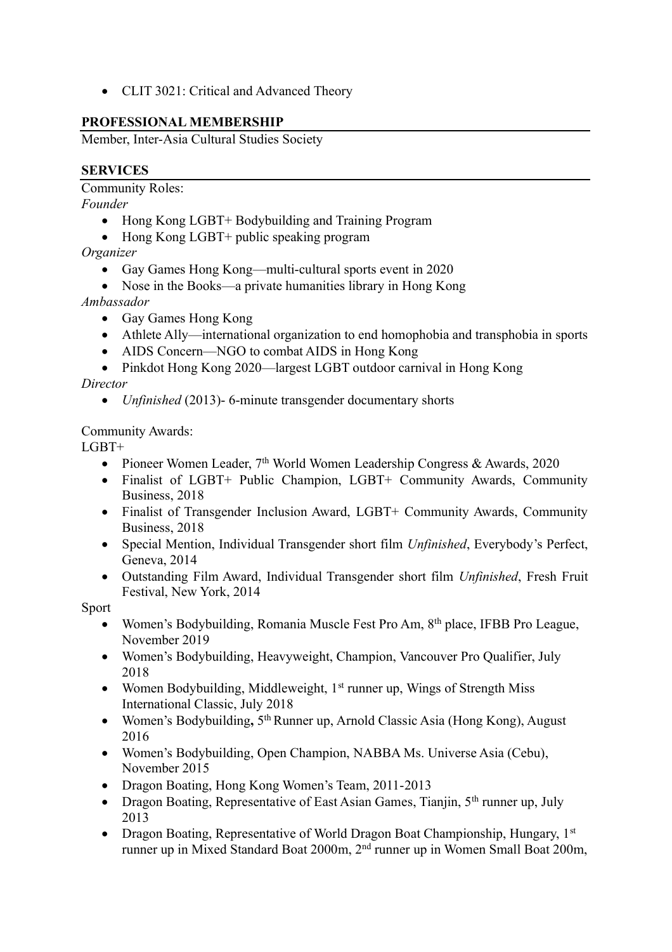• CLIT 3021: Critical and Advanced Theory

# **PROFESSIONAL MEMBERSHIP**

Member, Inter-Asia Cultural Studies Society

# **SERVICES**

Community Roles:

*Founder*

- Hong Kong LGBT+ Bodybuilding and Training Program
- Hong Kong LGBT+ public speaking program

*Organizer*

- Gay Games Hong Kong—multi-cultural sports event in 2020
- Nose in the Books—a private humanities library in Hong Kong

*Ambassador*

- Gay Games Hong Kong
- Athlete Ally—international organization to end homophobia and transphobia in sports
- AIDS Concern—NGO to combat AIDS in Hong Kong
- Pinkdot Hong Kong 2020—largest LGBT outdoor carnival in Hong Kong

*Director*

• *Unfinished* (2013)- 6-minute transgender documentary shorts

Community Awards:

LGBT+

- Pioneer Women Leader,  $7<sup>th</sup>$  World Women Leadership Congress & Awards, 2020
- Finalist of LGBT+ Public Champion, LGBT+ Community Awards, Community Business, 2018
- Finalist of Transgender Inclusion Award, LGBT+ Community Awards, Community Business, 2018
- Special Mention, Individual Transgender short film *Unfinished*, Everybody's Perfect, Geneva, 2014
- Outstanding Film Award, Individual Transgender short film *Unfinished*, Fresh Fruit Festival, New York, 2014

Sport

- Women's Bodybuilding, Romania Muscle Fest Pro Am, 8<sup>th</sup> place, IFBB Pro League, November 2019
- Women's Bodybuilding, Heavyweight, Champion, Vancouver Pro Qualifier, July 2018
- Women Bodybuilding, Middleweight, 1<sup>st</sup> runner up, Wings of Strength Miss International Classic, July 2018
- Women's Bodybuilding, 5<sup>th</sup> Runner up, Arnold Classic Asia (Hong Kong), August 2016
- Women's Bodybuilding, Open Champion, NABBA Ms. Universe Asia (Cebu), November 2015
- Dragon Boating, Hong Kong Women's Team, 2011-2013
- Dragon Boating, Representative of East Asian Games, Tianjin, 5<sup>th</sup> runner up, July 2013
- Dragon Boating, Representative of World Dragon Boat Championship, Hungary, 1st runner up in Mixed Standard Boat 2000m, 2nd runner up in Women Small Boat 200m,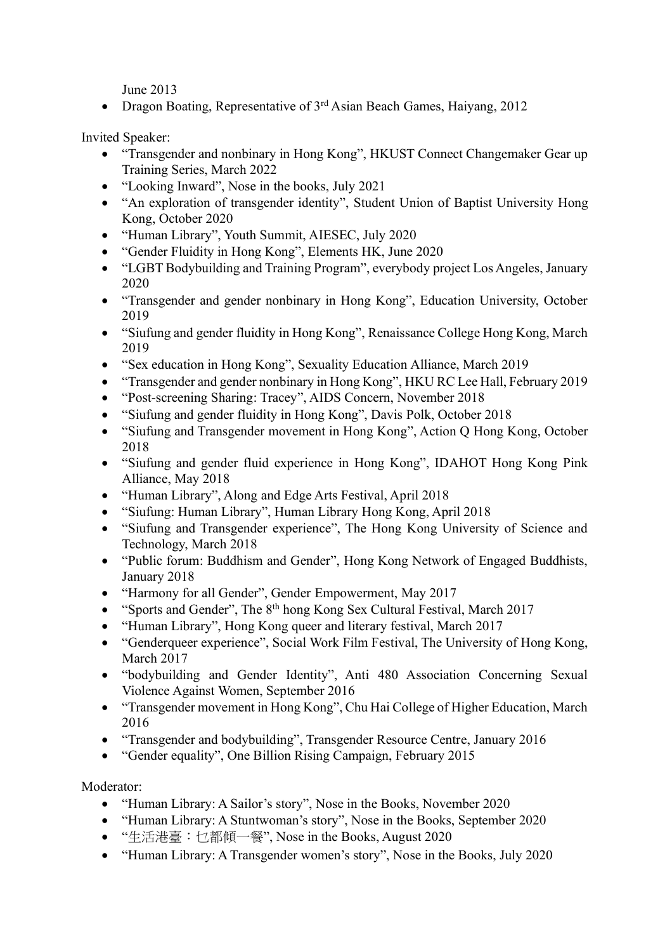June 2013

• Dragon Boating, Representative of 3<sup>rd</sup> Asian Beach Games, Haiyang, 2012

Invited Speaker:

- "Transgender and nonbinary in Hong Kong", HKUST Connect Changemaker Gear up Training Series, March 2022
- "Looking Inward", Nose in the books, July 2021
- "An exploration of transgender identity", Student Union of Baptist University Hong Kong, October 2020
- "Human Library", Youth Summit, AIESEC, July 2020
- "Gender Fluidity in Hong Kong", Elements HK, June 2020
- "LGBT Bodybuilding and Training Program", everybody project Los Angeles, January 2020
- "Transgender and gender nonbinary in Hong Kong", Education University, October 2019
- "Siufung and gender fluidity in Hong Kong", Renaissance College Hong Kong, March 2019
- "Sex education in Hong Kong", Sexuality Education Alliance, March 2019
- "Transgender and gender nonbinary in Hong Kong", HKU RC Lee Hall, February 2019
- "Post-screening Sharing: Tracey", AIDS Concern, November 2018
- "Siufung and gender fluidity in Hong Kong", Davis Polk, October 2018
- "Siufung and Transgender movement in Hong Kong", Action Q Hong Kong, October 2018
- "Siufung and gender fluid experience in Hong Kong", IDAHOT Hong Kong Pink Alliance, May 2018
- "Human Library", Along and Edge Arts Festival, April 2018
- "Siufung: Human Library", Human Library Hong Kong, April 2018
- "Siufung and Transgender experience", The Hong Kong University of Science and Technology, March 2018
- "Public forum: Buddhism and Gender", Hong Kong Network of Engaged Buddhists, January 2018
- "Harmony for all Gender", Gender Empowerment, May 2017
- "Sports and Gender", The 8<sup>th</sup> hong Kong Sex Cultural Festival, March 2017
- "Human Library", Hong Kong queer and literary festival, March 2017
- "Genderqueer experience", Social Work Film Festival, The University of Hong Kong, March 2017
- "bodybuilding and Gender Identity", Anti 480 Association Concerning Sexual Violence Against Women, September 2016
- "Transgender movement in Hong Kong", Chu Hai College of Higher Education, March 2016
- "Transgender and bodybuilding", Transgender Resource Centre, January 2016
- "Gender equality", One Billion Rising Campaign, February 2015

Moderator:

- "Human Library: A Sailor's story", Nose in the Books, November 2020
- "Human Library: A Stuntwoman's story", Nose in the Books, September 2020
- "生活港臺:乜都傾一餐", Nose in the Books, August 2020
- "Human Library: A Transgender women's story". Nose in the Books, July 2020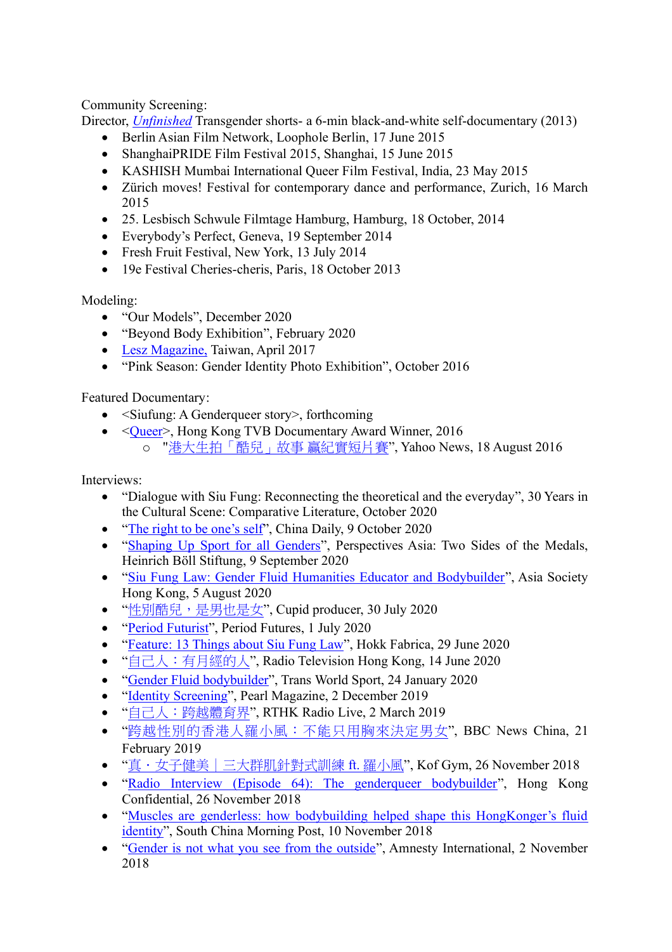## Community Screening:

Director, *[Unfinished](https://vimeo.com/68982048)* Transgender shorts- a 6-min black-and-white self-documentary (2013)

- Berlin Asian Film Network, Loophole Berlin, 17 June 2015
- ShanghaiPRIDE Film Festival 2015, Shanghai, 15 June 2015
- KASHISH Mumbai International Queer Film Festival, India, 23 May 2015
- Zürich moves! Festival for contemporary dance and performance, Zurich, 16 March 2015
- 25. Lesbisch Schwule Filmtage Hamburg, Hamburg, 18 October, 2014
- Everybody's Perfect, Geneva, 19 September 2014
- Fresh Fruit Festival, New York, 13 July 2014
- 19e Festival Cheries-cheris, Paris, 18 October 2013

## Modeling:

- "Our Models", December 2020
- "Beyond Body Exhibition", February 2020
- [Lesz Magazine,](https://www.youtube.com/watch?v=TAEIj5leSW8&feature=youtu.be) Taiwan, April 2017
- "Pink Season: Gender Identity Photo Exhibition", October 2016

## Featured Documentary:

- $\leq$ Siufung: A Genderqueer story>, forthcoming
- < $\sqrt{\frac{20}{16}}$  / Hong Kong TVB Documentary Award Winner, 2016 o "[港大生拍「酷兒」故事](https://hk.news.yahoo.com/%E6%B8%AF%E5%A4%A7%E7%94%9F%E6%8B%8D-%E9%85%B7%E5%85%92-%E6%95%85%E4%BA%8B-%E8%B4%8F%E7%B4%80%E5%AF%A6%E7%9F%AD%E7%89%87%E8%B3%BD-221112986.html) 贏紀實短片賽", Yahoo News, 18 August 2016

Interviews:

- "Dialogue with Siu Fung: Reconnecting the theoretical and the everyday", 30 Years in the Cultural Scene: Comparative Literature, October 2020
- ["The right to be one's self"](https://www.chinadailyhk.com/article/145696#The-right-to-be-one%E2%80%99s-self), China Daily, 9 October 2020
- ["Shaping Up Sport for all Genders"](https://www.boell.de/en/2020/09/23/perspectives-asia-sports-and-politics?dimension1=division_as), Perspectives Asia: Two Sides of the Medals, Heinrich Böll Stiftung, 9 September 2020
- ["Siu Fung Law: Gender Fluid Humanities Educator and Bodybuilder"](https://podcast.app/siu-fung-law-gender-fluid-humanities-educator-and-bodybuilder-e111683042/), Asia Society Hong Kong, 5 August 2020
- "[性別酷兒,是男也是女](https://www.youtube.com/watch?v=GrjYsgfIa2o)", Cupid producer, 30 July 2020
- ["Period Futurist"](https://www.periodfutures.org/period-futurists), Period Futures, 1 July 2020
- ["Feature: 13 Things about Siu Fung Law"](https://hokkfabrica.com/owning-my-rainbow-interview-siu-fung-law/), Hokk Fabrica, 29 June 2020
- "[自己人:有月經的人](https://www.rthk.hk/radio/radio2/programme/wearefamily?fbclid=IwAR1RAQmKQBjWGFDS1YM2cD8mjy78eD22nvJ8SiJTjjtlONyz_bcC6Wd4Eb8)", Radio Television Hong Kong, 14 June 2020
- ["Gender Fluid bodybuilder"](https://www.youtube.com/watch?v=wbutPEwlziU), Trans World Sport, 24 January 2020
- ["Identity Screening"](http://news.tvb.com/programmes/pearlmagazine/5c0e2138e603835e573d60a8), Pearl Magazine, 2 December 2019
- "[自己人:跨越體育界](http://www.rthk.hk/radio/radio2/programme/wearefamily)", RTHK Radio Live, 2 March 2019
- "[跨越性別的香港人羅小風:不能只用胸來決定男女](https://www.bbc.com/zhongwen/trad/chinese-news-46450690)", BBC News China, 21 February 2019
- "[真.女子健美|三大群肌針對式訓練](https://www.youtube.com/watch?v=cTUMto_VQJY) ft. 羅小風", Kof Gym, 26 November 2018
- ["Radio Interview \(Episode 64\): The genderqueer bodybuilder"](http://www.hongkongconfidential.net/episode-64-the-genderqueer-bodybuilder/), Hong Kong Confidential, 26 November 2018
- "Muscles are genderless: how bodybuilding helped shape this HongKonger's fluid [identity"](https://www.scmp.com/news/hong-kong/health-environment/article/2172490/muscles-are-genderless-how-bodybuilding-has-helped), South China Morning Post, 10 November 2018
- ["Gender is not what you see from the outside"](https://www.facebook.com/watch/?v=361763474565128), Amnesty International, 2 November 2018